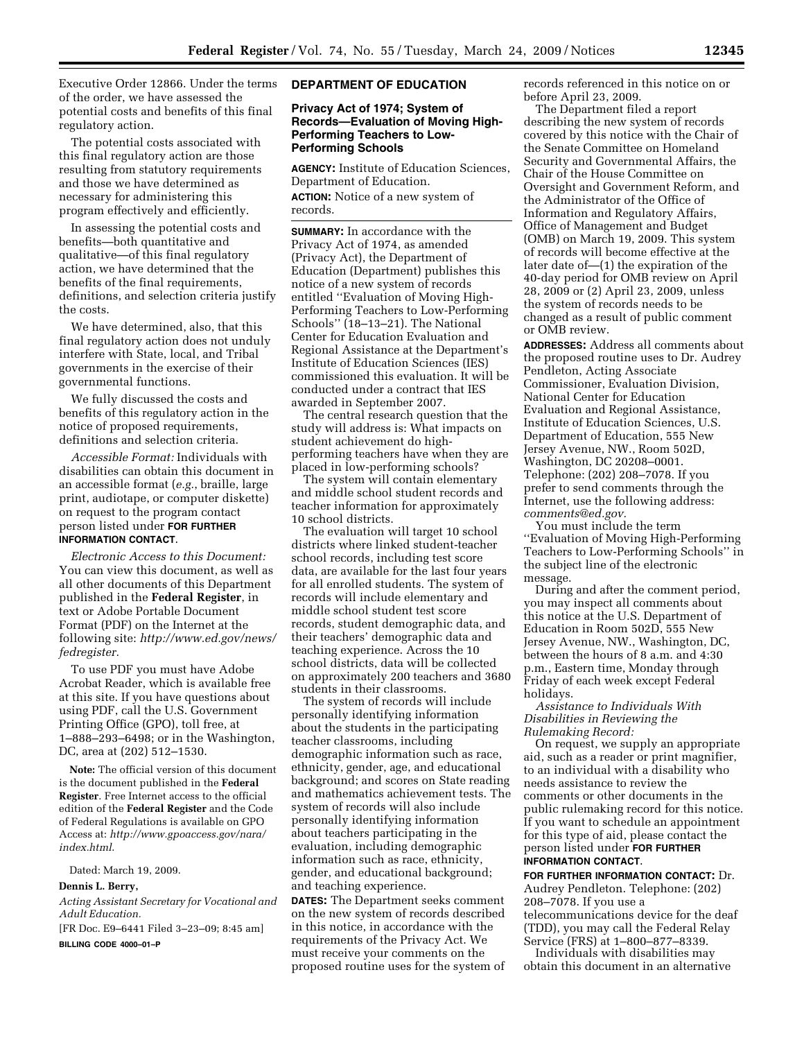Executive Order 12866. Under the terms of the order, we have assessed the potential costs and benefits of this final regulatory action.

The potential costs associated with this final regulatory action are those resulting from statutory requirements and those we have determined as necessary for administering this program effectively and efficiently.

In assessing the potential costs and benefits—both quantitative and qualitative—of this final regulatory action, we have determined that the benefits of the final requirements, definitions, and selection criteria justify the costs.

We have determined, also, that this final regulatory action does not unduly interfere with State, local, and Tribal governments in the exercise of their governmental functions.

We fully discussed the costs and benefits of this regulatory action in the notice of proposed requirements, definitions and selection criteria.

*Accessible Format:* Individuals with disabilities can obtain this document in an accessible format (*e.g.*, braille, large print, audiotape, or computer diskette) on request to the program contact person listed under **FOR FURTHER INFORMATION CONTACT**.

*Electronic Access to this Document:*  You can view this document, as well as all other documents of this Department published in the **Federal Register**, in text or Adobe Portable Document Format (PDF) on the Internet at the following site: *http://www.ed.gov/news/ fedregister.* 

To use PDF you must have Adobe Acrobat Reader, which is available free at this site. If you have questions about using PDF, call the U.S. Government Printing Office (GPO), toll free, at 1–888–293–6498; or in the Washington, DC, area at (202) 512–1530.

**Note:** The official version of this document is the document published in the **Federal Register**. Free Internet access to the official edition of the **Federal Register** and the Code of Federal Regulations is available on GPO Access at: *http://www.gpoaccess.gov/nara/ index.html*.

Dated: March 19, 2009.

## **Dennis L. Berry,**

*Acting Assistant Secretary for Vocational and Adult Education.* 

[FR Doc. E9–6441 Filed 3–23–09; 8:45 am]

**BILLING CODE 4000–01–P** 

## **DEPARTMENT OF EDUCATION**

## **Privacy Act of 1974; System of Records—Evaluation of Moving High-Performing Teachers to Low-Performing Schools**

**AGENCY:** Institute of Education Sciences, Department of Education. **ACTION:** Notice of a new system of records.

**SUMMARY:** In accordance with the Privacy Act of 1974, as amended (Privacy Act), the Department of Education (Department) publishes this notice of a new system of records entitled ''Evaluation of Moving High-Performing Teachers to Low-Performing Schools'' (18–13–21). The National Center for Education Evaluation and Regional Assistance at the Department's Institute of Education Sciences (IES) commissioned this evaluation. It will be conducted under a contract that IES awarded in September 2007.

The central research question that the study will address is: What impacts on student achievement do highperforming teachers have when they are placed in low-performing schools?

The system will contain elementary and middle school student records and teacher information for approximately 10 school districts.

The evaluation will target 10 school districts where linked student-teacher school records, including test score data, are available for the last four years for all enrolled students. The system of records will include elementary and middle school student test score records, student demographic data, and their teachers' demographic data and teaching experience. Across the 10 school districts, data will be collected on approximately 200 teachers and 3680 students in their classrooms.

The system of records will include personally identifying information about the students in the participating teacher classrooms, including demographic information such as race, ethnicity, gender, age, and educational background; and scores on State reading and mathematics achievement tests. The system of records will also include personally identifying information about teachers participating in the evaluation, including demographic information such as race, ethnicity, gender, and educational background; and teaching experience.

**DATES:** The Department seeks comment on the new system of records described in this notice, in accordance with the requirements of the Privacy Act. We must receive your comments on the proposed routine uses for the system of records referenced in this notice on or before April 23, 2009.

The Department filed a report describing the new system of records covered by this notice with the Chair of the Senate Committee on Homeland Security and Governmental Affairs, the Chair of the House Committee on Oversight and Government Reform, and the Administrator of the Office of Information and Regulatory Affairs, Office of Management and Budget (OMB) on March 19, 2009. This system of records will become effective at the later date of—(1) the expiration of the 40-day period for OMB review on April 28, 2009 or (2) April 23, 2009, unless the system of records needs to be changed as a result of public comment or OMB review.

**ADDRESSES:** Address all comments about the proposed routine uses to Dr. Audrey Pendleton, Acting Associate Commissioner, Evaluation Division, National Center for Education Evaluation and Regional Assistance, Institute of Education Sciences, U.S. Department of Education, 555 New Jersey Avenue, NW., Room 502D, Washington, DC 20208–0001. Telephone: (202) 208–7078. If you prefer to send comments through the Internet, use the following address: *comments@ed.gov.* 

You must include the term ''Evaluation of Moving High-Performing Teachers to Low-Performing Schools'' in the subject line of the electronic message.

During and after the comment period, you may inspect all comments about this notice at the U.S. Department of Education in Room 502D, 555 New Jersey Avenue, NW., Washington, DC, between the hours of 8 a.m. and 4:30 p.m., Eastern time, Monday through Friday of each week except Federal holidays.

*Assistance to Individuals With Disabilities in Reviewing the Rulemaking Record:* 

On request, we supply an appropriate aid, such as a reader or print magnifier, to an individual with a disability who needs assistance to review the comments or other documents in the public rulemaking record for this notice. If you want to schedule an appointment for this type of aid, please contact the person listed under **FOR FURTHER INFORMATION CONTACT**.

**FOR FURTHER INFORMATION CONTACT:** Dr. Audrey Pendleton. Telephone: (202) 208–7078. If you use a telecommunications device for the deaf (TDD), you may call the Federal Relay Service (FRS) at 1–800–877–8339.

Individuals with disabilities may obtain this document in an alternative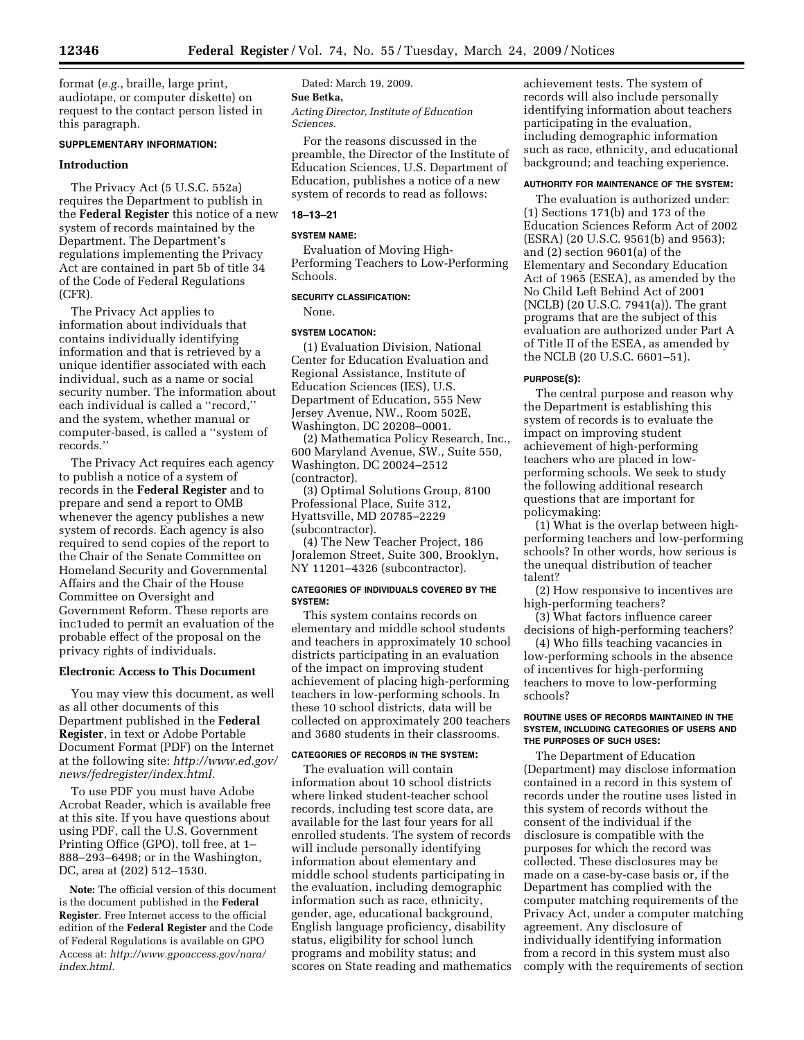format (*e.g.*, braille, large print, audiotape, or computer diskette) on request to the contact person listed in this paragraph.

# **SUPPLEMENTARY INFORMATION:**

## **Introduction**

The Privacy Act (5 U.S.C. 552a) requires the Department to publish in the **Federal Register** this notice of a new system of records maintained by the Department. The Department's regulations implementing the Privacy Act are contained in part 5b of title 34 of the Code of Federal Regulations (CFR).

The Privacy Act applies to information about individuals that contains individually identifying information and that is retrieved by a unique identifier associated with each individual, such as a name or social security number. The information about each individual is called a ''record,'' and the system, whether manual or computer-based, is called a ''system of records.''

The Privacy Act requires each agency to publish a notice of a system of records in the **Federal Register** and to prepare and send a report to OMB whenever the agency publishes a new system of records. Each agency is also required to send copies of the report to the Chair of the Senate Committee on Homeland Security and Governmental Affairs and the Chair of the House Committee on Oversight and Government Reform. These reports are inc1uded to permit an evaluation of the probable effect of the proposal on the privacy rights of individuals.

## **Electronic Access to This Document**

You may view this document, as well as all other documents of this Department published in the **Federal Register**, in text or Adobe Portable Document Format (PDF) on the Internet at the following site: *http://www.ed.gov/ news/fedregister/index.html.* 

To use PDF you must have Adobe Acrobat Reader, which is available free at this site. If you have questions about using PDF, call the U.S. Government Printing Office (GPO), toll free, at 1– 888–293–6498; or in the Washington, DC, area at (202) 512–1530.

**Note:** The official version of this document is the document published in the **Federal Register**. Free Internet access to the official edition of the **Federal Register** and the Code of Federal Regulations is available on GPO Access at: *http://www.gpoaccess.gov/nara/ index.html.* 

#### Dated: March 19, 2009.

**Sue Betka,** 

*Acting Director, Institute of Education Sciences.* 

For the reasons discussed in the preamble, the Director of the Institute of Education Sciences, U.S. Department of Education, publishes a notice of a new system of records to read as follows:

## **18–13–21**

# **SYSTEM NAME:**

Evaluation of Moving High-Performing Teachers to Low-Performing Schools.

## **SECURITY CLASSIFICATION:**

None.

# **SYSTEM LOCATION:**

(1) Evaluation Division, National Center for Education Evaluation and Regional Assistance, Institute of Education Sciences (IES), U.S. Department of Education, 555 New Jersey Avenue, NW., Room 502E, Washington, DC 20208–0001.

(2) Mathematica Policy Research, Inc., 600 Maryland Avenue, SW., Suite 550, Washington, DC 20024–2512 (contractor).

(3) Optimal Solutions Group, 8100 Professional Place, Suite 312, Hyattsville, MD 20785–2229 (subcontractor).

(4) The New Teacher Project, 186 Joralemon Street, Suite 300, Brooklyn, NY 11201–4326 (subcontractor).

## **CATEGORIES OF INDIVIDUALS COVERED BY THE SYSTEM:**

This system contains records on elementary and middle school students and teachers in approximately 10 school districts participating in an evaluation of the impact on improving student achievement of placing high-performing teachers in low-performing schools. In these 10 school districts, data will be collected on approximately 200 teachers and 3680 students in their classrooms.

## **CATEGORIES OF RECORDS IN THE SYSTEM:**

The evaluation will contain information about 10 school districts where linked student-teacher school records, including test score data, are available for the last four years for all enrolled students. The system of records will include personally identifying information about elementary and middle school students participating in the evaluation, including demographic information such as race, ethnicity, gender, age, educational background, English language proficiency, disability status, eligibility for school lunch programs and mobility status; and scores on State reading and mathematics

achievement tests. The system of records will also include personally identifying information about teachers participating in the evaluation, including demographic information such as race, ethnicity, and educational background; and teaching experience.

## **AUTHORITY FOR MAINTENANCE OF THE SYSTEM:**

The evaluation is authorized under: (1) Sections 171(b) and 173 of the Education Sciences Reform Act of 2002 (ESRA) (20 U.S.C. 9561(b) and 9563); and (2) section 9601(a) of the Elementary and Secondary Education Act of 1965 (ESEA), as amended by the No Child Left Behind Act of 2001 (NCLB) (20 U.S.C. 7941(a)). The grant programs that are the subject of this evaluation are authorized under Part A of Title II of the ESEA, as amended by the NCLB (20 U.S.C. 6601–51).

#### **PURPOSE(S):**

The central purpose and reason why the Department is establishing this system of records is to evaluate the impact on improving student achievement of high-performing teachers who are placed in lowperforming schools. We seek to study the following additional research questions that are important for policymaking:

(1) What is the overlap between highperforming teachers and low-performing schools? In other words, how serious is the unequal distribution of teacher talent?

(2) How responsive to incentives are high-performing teachers?

(3) What factors influence career decisions of high-performing teachers?

(4) Who fills teaching vacancies in low-performing schools in the absence of incentives for high-performing teachers to move to low-performing schools?

## **ROUTINE USES OF RECORDS MAINTAINED IN THE SYSTEM, INCLUDING CATEGORIES OF USERS AND THE PURPOSES OF SUCH USES:**

The Department of Education (Department) may disclose information contained in a record in this system of records under the routine uses listed in this system of records without the consent of the individual if the disclosure is compatible with the purposes for which the record was collected. These disclosures may be made on a case-by-case basis or, if the Department has complied with the computer matching requirements of the Privacy Act, under a computer matching agreement. Any disclosure of individually identifying information from a record in this system must also comply with the requirements of section